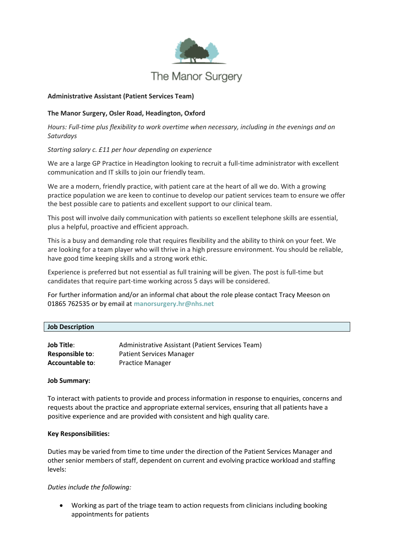

### **Administrative Assistant (Patient Services Team)**

### **The Manor Surgery, Osler Road, Headington, Oxford**

*Hours: Full-time plus flexibility to work overtime when necessary, including in the evenings and on Saturdays*

### *Starting salary c. £11 per hour depending on experience*

We are a large GP Practice in Headington looking to recruit a full-time administrator with excellent communication and IT skills to join our friendly team.

We are a modern, friendly practice, with patient care at the heart of all we do. With a growing practice population we are keen to continue to develop our patient services team to ensure we offer the best possible care to patients and excellent support to our clinical team.

This post will involve daily communication with patients so excellent telephone skills are essential, plus a helpful, proactive and efficient approach.

This is a busy and demanding role that requires flexibility and the ability to think on your feet. We are looking for a team player who will thrive in a high pressure environment. You should be reliable, have good time keeping skills and a strong work ethic.

Experience is preferred but not essential as full training will be given. The post is full-time but candidates that require part-time working across 5 days will be considered.

For further information and/or an informal chat about the role please contact Tracy Meeson on 01865 762535 or by email at **[manorsurgery.hr@nhs.net](mailto:manorsurgery.hr@nhs.net)**

### **Job Description**

| <b>Job Title:</b>      | Administrative Assistant (Patient Services Team) |
|------------------------|--------------------------------------------------|
| <b>Responsible to:</b> | <b>Patient Services Manager</b>                  |
| <b>Accountable to:</b> | <b>Practice Manager</b>                          |

### **Job Summary:**

To interact with patients to provide and process information in response to enquiries, concerns and requests about the practice and appropriate external services, ensuring that all patients have a positive experience and are provided with consistent and high quality care.

### **Key Responsibilities:**

Duties may be varied from time to time under the direction of the Patient Services Manager and other senior members of staff, dependent on current and evolving practice workload and staffing levels:

### *Duties include the following:*

• Working as part of the triage team to action requests from clinicians including booking appointments for patients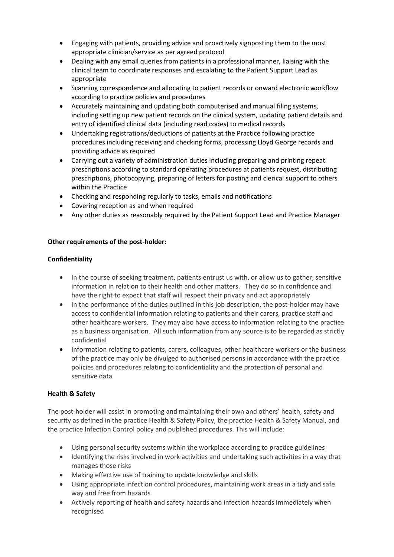- Engaging with patients, providing advice and proactively signposting them to the most appropriate clinician/service as per agreed protocol
- Dealing with any email queries from patients in a professional manner, liaising with the clinical team to coordinate responses and escalating to the Patient Support Lead as appropriate
- Scanning correspondence and allocating to patient records or onward electronic workflow according to practice policies and procedures
- Accurately maintaining and updating both computerised and manual filing systems, including setting up new patient records on the clinical system, updating patient details and entry of identified clinical data (including read codes) to medical records
- Undertaking registrations/deductions of patients at the Practice following practice procedures including receiving and checking forms, processing Lloyd George records and providing advice as required
- Carrying out a variety of administration duties including preparing and printing repeat prescriptions according to standard operating procedures at patients request, distributing prescriptions, photocopying, preparing of letters for posting and clerical support to others within the Practice
- Checking and responding regularly to tasks, emails and notifications
- Covering reception as and when required
- Any other duties as reasonably required by the Patient Support Lead and Practice Manager

# **Other requirements of the post-holder:**

### **Confidentiality**

- In the course of seeking treatment, patients entrust us with, or allow us to gather, sensitive information in relation to their health and other matters. They do so in confidence and have the right to expect that staff will respect their privacy and act appropriately
- In the performance of the duties outlined in this job description, the post-holder may have access to confidential information relating to patients and their carers, practice staff and other healthcare workers. They may also have access to information relating to the practice as a business organisation. All such information from any source is to be regarded as strictly confidential
- Information relating to patients, carers, colleagues, other healthcare workers or the business of the practice may only be divulged to authorised persons in accordance with the practice policies and procedures relating to confidentiality and the protection of personal and sensitive data

# **Health & Safety**

The post-holder will assist in promoting and maintaining their own and others' health, safety and security as defined in the practice Health & Safety Policy, the practice Health & Safety Manual, and the practice Infection Control policy and published procedures. This will include:

- Using personal security systems within the workplace according to practice guidelines
- Identifying the risks involved in work activities and undertaking such activities in a way that manages those risks
- Making effective use of training to update knowledge and skills
- Using appropriate infection control procedures, maintaining work areas in a tidy and safe way and free from hazards
- Actively reporting of health and safety hazards and infection hazards immediately when recognised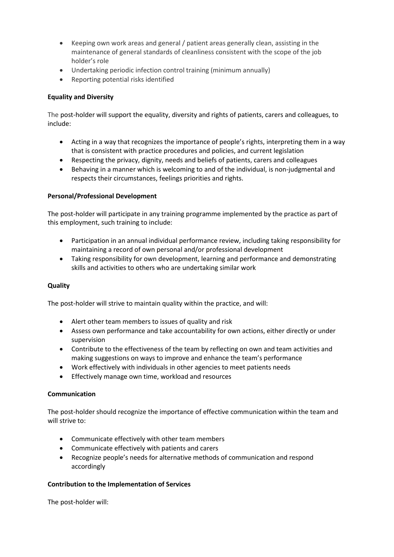- Keeping own work areas and general / patient areas generally clean, assisting in the maintenance of general standards of cleanliness consistent with the scope of the job holder's role
- Undertaking periodic infection control training (minimum annually)
- Reporting potential risks identified

## **Equality and Diversity**

The post-holder will support the equality, diversity and rights of patients, carers and colleagues, to include:

- Acting in a way that recognizes the importance of people's rights, interpreting them in a way that is consistent with practice procedures and policies, and current legislation
- Respecting the privacy, dignity, needs and beliefs of patients, carers and colleagues
- Behaving in a manner which is welcoming to and of the individual, is non-judgmental and respects their circumstances, feelings priorities and rights.

### **Personal/Professional Development**

The post-holder will participate in any training programme implemented by the practice as part of this employment, such training to include:

- Participation in an annual individual performance review, including taking responsibility for maintaining a record of own personal and/or professional development
- Taking responsibility for own development, learning and performance and demonstrating skills and activities to others who are undertaking similar work

### **Quality**

The post-holder will strive to maintain quality within the practice, and will:

- Alert other team members to issues of quality and risk
- Assess own performance and take accountability for own actions, either directly or under supervision
- Contribute to the effectiveness of the team by reflecting on own and team activities and making suggestions on ways to improve and enhance the team's performance
- Work effectively with individuals in other agencies to meet patients needs
- Effectively manage own time, workload and resources

### **Communication**

The post-holder should recognize the importance of effective communication within the team and will strive to:

- Communicate effectively with other team members
- Communicate effectively with patients and carers
- Recognize people's needs for alternative methods of communication and respond accordingly

### **Contribution to the Implementation of Services**

The post-holder will: